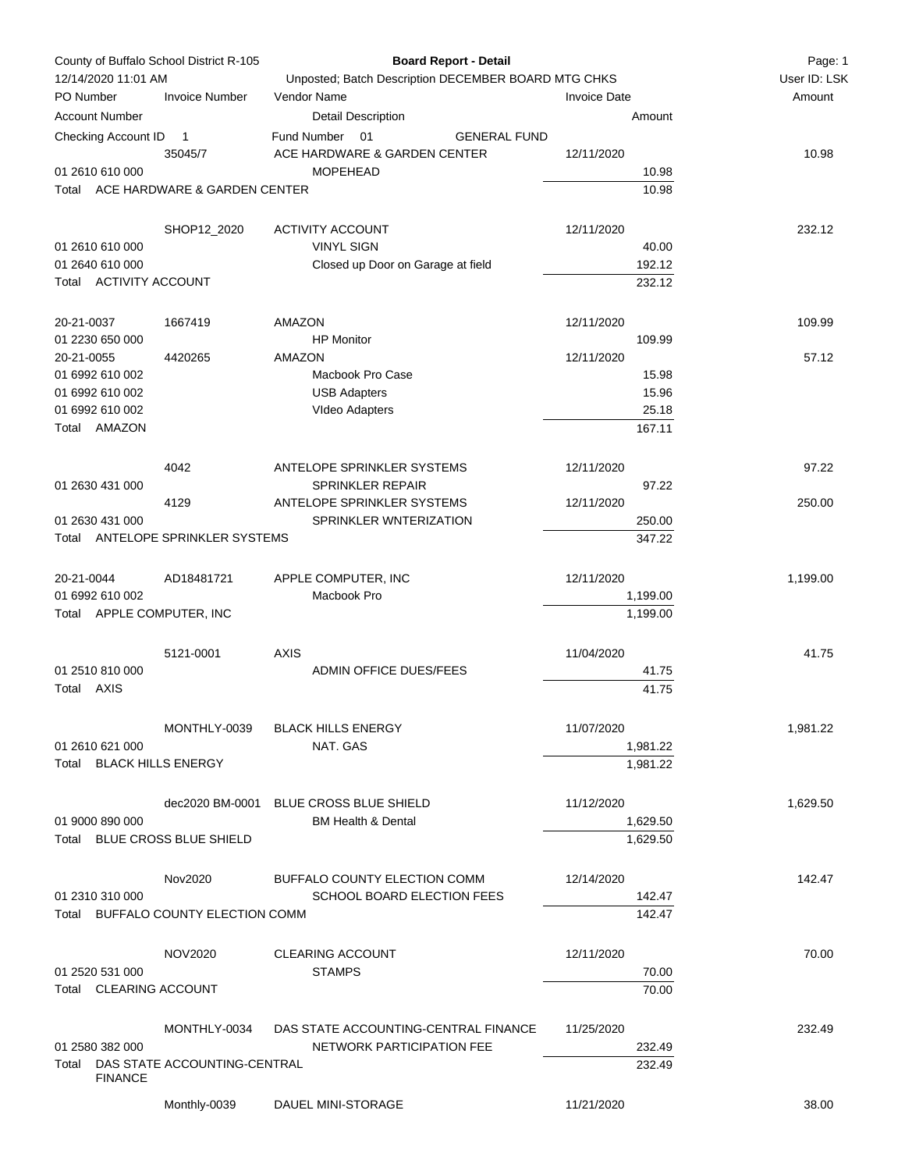| County of Buffalo School District R-105<br>12/14/2020 11:01 AM<br>PO Number<br><b>Invoice Number</b> |                         |                                    | <b>Board Report - Detail</b>                        | Page: 1<br>User ID: LSK |          |
|------------------------------------------------------------------------------------------------------|-------------------------|------------------------------------|-----------------------------------------------------|-------------------------|----------|
|                                                                                                      |                         |                                    | Unposted; Batch Description DECEMBER BOARD MTG CHKS |                         |          |
|                                                                                                      |                         |                                    | Vendor Name                                         | <b>Invoice Date</b>     | Amount   |
|                                                                                                      | <b>Account Number</b>   |                                    | <b>Detail Description</b>                           | Amount                  |          |
|                                                                                                      | Checking Account ID     | $\overline{1}$                     | 01<br>Fund Number<br><b>GENERAL FUND</b>            |                         |          |
|                                                                                                      |                         | 35045/7                            | ACE HARDWARE & GARDEN CENTER                        | 12/11/2020              | 10.98    |
|                                                                                                      | 01 2610 610 000         |                                    | <b>MOPEHEAD</b>                                     | 10.98                   |          |
| Total                                                                                                |                         | ACE HARDWARE & GARDEN CENTER       |                                                     | 10.98                   |          |
|                                                                                                      |                         |                                    |                                                     |                         |          |
|                                                                                                      |                         | SHOP12_2020                        | <b>ACTIVITY ACCOUNT</b>                             | 12/11/2020              | 232.12   |
|                                                                                                      | 01 2610 610 000         |                                    | <b>VINYL SIGN</b>                                   | 40.00                   |          |
|                                                                                                      | 01 2640 610 000         |                                    | Closed up Door on Garage at field                   | 192.12                  |          |
|                                                                                                      | Total ACTIVITY ACCOUNT  |                                    |                                                     | 232.12                  |          |
|                                                                                                      |                         |                                    |                                                     |                         |          |
|                                                                                                      |                         |                                    |                                                     |                         |          |
| 20-21-0037                                                                                           |                         | 1667419                            | AMAZON<br><b>HP</b> Monitor                         | 12/11/2020              | 109.99   |
| 20-21-0055                                                                                           | 01 2230 650 000         | 4420265                            | AMAZON                                              | 109.99<br>12/11/2020    | 57.12    |
|                                                                                                      | 01 6992 610 002         |                                    | Macbook Pro Case                                    |                         |          |
|                                                                                                      | 01 6992 610 002         |                                    | <b>USB Adapters</b>                                 | 15.98<br>15.96          |          |
|                                                                                                      | 01 6992 610 002         |                                    |                                                     | 25.18                   |          |
| Total                                                                                                | AMAZON                  |                                    | VIdeo Adapters                                      | 167.11                  |          |
|                                                                                                      |                         |                                    |                                                     |                         |          |
|                                                                                                      |                         |                                    |                                                     |                         |          |
|                                                                                                      |                         | 4042                               | ANTELOPE SPRINKLER SYSTEMS                          | 12/11/2020              | 97.22    |
|                                                                                                      | 01 2630 431 000         |                                    | <b>SPRINKLER REPAIR</b>                             | 97.22                   |          |
|                                                                                                      |                         | 4129                               | ANTELOPE SPRINKLER SYSTEMS                          | 12/11/2020              | 250.00   |
|                                                                                                      | 01 2630 431 000         |                                    | SPRINKLER WNTERIZATION                              | 250.00                  |          |
|                                                                                                      |                         | Total ANTELOPE SPRINKLER SYSTEMS   |                                                     | 347.22                  |          |
|                                                                                                      |                         |                                    |                                                     |                         |          |
| 20-21-0044                                                                                           |                         | AD18481721                         | APPLE COMPUTER, INC                                 | 12/11/2020              | 1,199.00 |
|                                                                                                      | 01 6992 610 002         |                                    | Macbook Pro                                         | 1,199.00                |          |
|                                                                                                      |                         | Total APPLE COMPUTER, INC          |                                                     | 1,199.00                |          |
|                                                                                                      |                         |                                    |                                                     |                         |          |
|                                                                                                      |                         | 5121-0001                          | <b>AXIS</b>                                         | 11/04/2020              | 41.75    |
|                                                                                                      | 01 2510 810 000         |                                    | ADMIN OFFICE DUES/FEES                              | 41.75                   |          |
|                                                                                                      | Total AXIS              |                                    |                                                     | 41.75                   |          |
|                                                                                                      |                         |                                    |                                                     |                         |          |
|                                                                                                      |                         | MONTHLY-0039                       | <b>BLACK HILLS ENERGY</b>                           | 11/07/2020              | 1,981.22 |
|                                                                                                      | 01 2610 621 000         |                                    | NAT. GAS                                            | 1,981.22                |          |
| Total                                                                                                |                         | <b>BLACK HILLS ENERGY</b>          |                                                     | 1,981.22                |          |
|                                                                                                      |                         |                                    |                                                     |                         |          |
|                                                                                                      |                         |                                    | dec2020 BM-0001 BLUE CROSS BLUE SHIELD              | 11/12/2020              | 1,629.50 |
|                                                                                                      | 01 9000 890 000         |                                    | <b>BM Health &amp; Dental</b>                       | 1,629.50                |          |
| Total                                                                                                |                         | BLUE CROSS BLUE SHIELD             |                                                     | 1.629.50                |          |
|                                                                                                      |                         |                                    |                                                     |                         |          |
|                                                                                                      |                         | Nov2020                            | BUFFALO COUNTY ELECTION COMM                        | 12/14/2020              | 142.47   |
|                                                                                                      | 01 2310 310 000         |                                    | <b>SCHOOL BOARD ELECTION FEES</b>                   | 142.47                  |          |
|                                                                                                      |                         | Total BUFFALO COUNTY ELECTION COMM |                                                     | 142.47                  |          |
|                                                                                                      |                         |                                    |                                                     |                         |          |
|                                                                                                      |                         | NOV2020                            | <b>CLEARING ACCOUNT</b>                             | 12/11/2020              | 70.00    |
|                                                                                                      | 01 2520 531 000         |                                    | <b>STAMPS</b>                                       | 70.00                   |          |
| Total                                                                                                | <b>CLEARING ACCOUNT</b> |                                    |                                                     | 70.00                   |          |
|                                                                                                      |                         |                                    |                                                     |                         |          |
|                                                                                                      |                         |                                    |                                                     |                         |          |
|                                                                                                      |                         | MONTHLY-0034                       | DAS STATE ACCOUNTING-CENTRAL FINANCE                | 11/25/2020              | 232.49   |
|                                                                                                      | 01 2580 382 000         |                                    | NETWORK PARTICIPATION FEE                           | 232.49                  |          |
| Total                                                                                                | <b>FINANCE</b>          | DAS STATE ACCOUNTING-CENTRAL       |                                                     | 232.49                  |          |
|                                                                                                      |                         |                                    |                                                     |                         |          |
|                                                                                                      |                         | Monthly-0039                       | DAUEL MINI-STORAGE                                  | 11/21/2020              | 38.00    |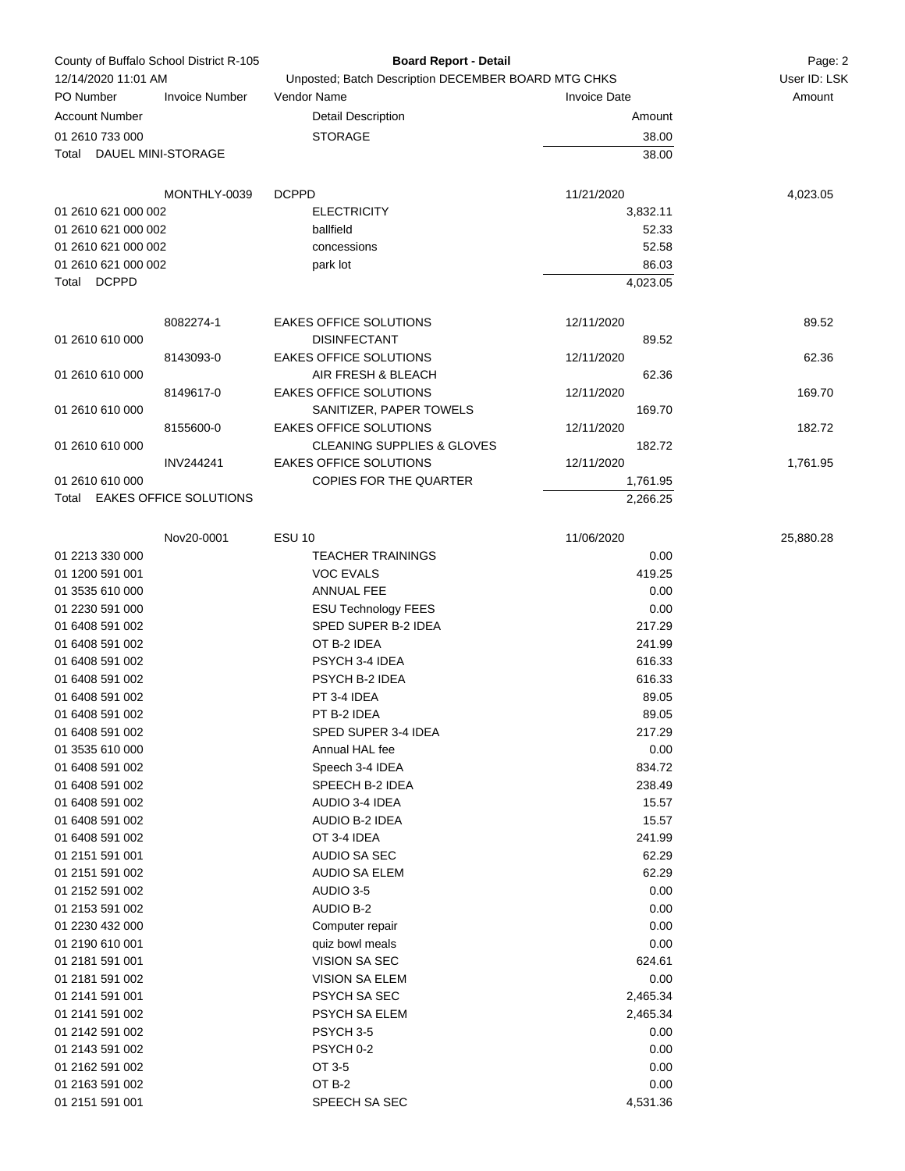| County of Buffalo School District R-105 |                              | <b>Board Report - Detail</b>                         |                     | Page: 2      |
|-----------------------------------------|------------------------------|------------------------------------------------------|---------------------|--------------|
| 12/14/2020 11:01 AM                     |                              | Unposted; Batch Description DECEMBER BOARD MTG CHKS  |                     | User ID: LSK |
| PO Number                               | <b>Invoice Number</b>        | Vendor Name                                          | <b>Invoice Date</b> | Amount       |
| <b>Account Number</b>                   |                              | <b>Detail Description</b>                            | Amount              |              |
| 01 2610 733 000                         |                              | <b>STORAGE</b>                                       | 38.00               |              |
| Total DAUEL MINI-STORAGE                |                              |                                                      | 38.00               |              |
|                                         | MONTHLY-0039                 | <b>DCPPD</b>                                         | 11/21/2020          | 4,023.05     |
| 01 2610 621 000 002                     |                              | <b>ELECTRICITY</b>                                   | 3,832.11            |              |
| 01 2610 621 000 002                     |                              | ballfield                                            | 52.33               |              |
| 01 2610 621 000 002                     |                              | concessions                                          | 52.58               |              |
| 01 2610 621 000 002                     |                              | park lot                                             | 86.03               |              |
| Total DCPPD                             |                              |                                                      | 4,023.05            |              |
| 01 2610 610 000                         | 8082274-1                    | <b>EAKES OFFICE SOLUTIONS</b><br><b>DISINFECTANT</b> | 12/11/2020<br>89.52 | 89.52        |
|                                         | 8143093-0                    | EAKES OFFICE SOLUTIONS                               | 12/11/2020          | 62.36        |
| 01 2610 610 000                         |                              | AIR FRESH & BLEACH                                   | 62.36               |              |
|                                         | 8149617-0                    | EAKES OFFICE SOLUTIONS                               | 12/11/2020          | 169.70       |
| 01 2610 610 000                         |                              | SANITIZER, PAPER TOWELS                              | 169.70              |              |
|                                         | 8155600-0                    | <b>EAKES OFFICE SOLUTIONS</b>                        | 12/11/2020          | 182.72       |
| 01 2610 610 000                         |                              | <b>CLEANING SUPPLIES &amp; GLOVES</b>                | 182.72              |              |
|                                         | INV244241                    | EAKES OFFICE SOLUTIONS                               | 12/11/2020          | 1,761.95     |
| 01 2610 610 000                         |                              | COPIES FOR THE QUARTER                               | 1,761.95            |              |
|                                         | Total EAKES OFFICE SOLUTIONS |                                                      | 2,266.25            |              |
|                                         | Nov20-0001                   | <b>ESU 10</b>                                        | 11/06/2020          | 25,880.28    |
| 01 2213 330 000                         |                              | <b>TEACHER TRAININGS</b>                             | 0.00                |              |
| 01 1200 591 001                         |                              | <b>VOC EVALS</b>                                     | 419.25              |              |
| 01 3535 610 000                         |                              | ANNUAL FEE                                           | 0.00                |              |
| 01 2230 591 000                         |                              | <b>ESU Technology FEES</b>                           | 0.00                |              |
| 01 6408 591 002                         |                              | SPED SUPER B-2 IDEA                                  | 217.29              |              |
| 01 6408 591 002                         |                              | OT B-2 IDEA                                          | 241.99              |              |
| 01 6408 591 002                         |                              | PSYCH 3-4 IDEA                                       | 616.33              |              |
| 01 6408 591 002                         |                              | <b>PSYCH B-2 IDEA</b>                                | 616.33              |              |
| 01 6408 591 002                         |                              | PT 3-4 IDEA                                          | 89.05               |              |
| 01 6408 591 002                         |                              | PT B-2 IDEA                                          | 89.05               |              |
| 01 6408 591 002                         |                              | SPED SUPER 3-4 IDEA                                  | 217.29              |              |
| 01 3535 610 000                         |                              | Annual HAL fee                                       | 0.00                |              |
| 01 6408 591 002                         |                              | Speech 3-4 IDEA                                      | 834.72              |              |
| 01 6408 591 002                         |                              | SPEECH B-2 IDEA                                      | 238.49              |              |
| 01 6408 591 002                         |                              | AUDIO 3-4 IDEA                                       | 15.57               |              |
| 01 6408 591 002                         |                              | AUDIO B-2 IDEA                                       | 15.57               |              |
| 01 6408 591 002                         |                              | OT 3-4 IDEA                                          | 241.99              |              |
| 01 2151 591 001                         |                              | AUDIO SA SEC                                         | 62.29               |              |
| 01 2151 591 002                         |                              | <b>AUDIO SA ELEM</b>                                 | 62.29               |              |
| 01 2152 591 002                         |                              | AUDIO 3-5                                            | 0.00                |              |
| 01 2153 591 002                         |                              | <b>AUDIO B-2</b>                                     | 0.00                |              |
| 01 2230 432 000                         |                              | Computer repair                                      | 0.00                |              |
| 01 2190 610 001                         |                              | quiz bowl meals                                      | 0.00                |              |
| 01 2181 591 001                         |                              | VISION SA SEC                                        | 624.61              |              |
| 01 2181 591 002                         |                              | VISION SA ELEM                                       | 0.00                |              |
| 01 2141 591 001                         |                              | PSYCH SA SEC                                         | 2,465.34            |              |
| 01 2141 591 002                         |                              | PSYCH SA ELEM                                        | 2,465.34            |              |
| 01 2142 591 002                         |                              | PSYCH 3-5                                            | 0.00                |              |
|                                         |                              | PSYCH 0-2                                            | 0.00                |              |
| 01 2143 591 002                         |                              |                                                      |                     |              |
| 01 2162 591 002                         |                              | OT 3-5                                               | 0.00                |              |
| 01 2163 591 002                         |                              | OT B-2                                               | 0.00                |              |
| 01 2151 591 001                         |                              | SPEECH SA SEC                                        | 4,531.36            |              |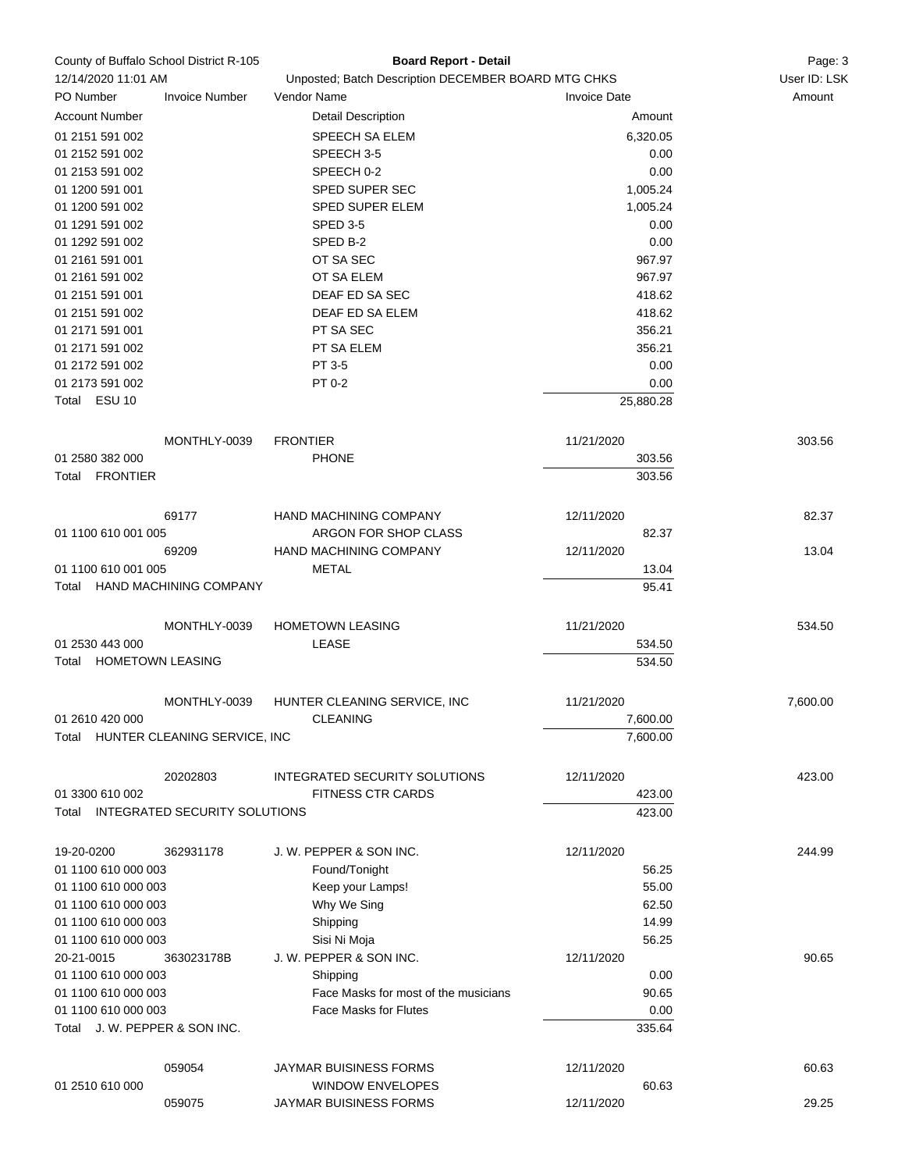|                                  | County of Buffalo School District R-105 | <b>Board Report - Detail</b>                        |                     | Page: 3      |
|----------------------------------|-----------------------------------------|-----------------------------------------------------|---------------------|--------------|
| 12/14/2020 11:01 AM              |                                         | Unposted; Batch Description DECEMBER BOARD MTG CHKS |                     | User ID: LSK |
| PO Number                        | <b>Invoice Number</b>                   | Vendor Name                                         | <b>Invoice Date</b> | Amount       |
| <b>Account Number</b>            |                                         | <b>Detail Description</b>                           | Amount              |              |
| 01 2151 591 002                  |                                         | <b>SPEECH SA ELEM</b>                               | 6,320.05            |              |
| 01 2152 591 002                  |                                         | SPEECH 3-5                                          | 0.00                |              |
| 01 2153 591 002                  |                                         | SPEECH 0-2                                          | 0.00                |              |
| 01 1200 591 001                  |                                         | <b>SPED SUPER SEC</b>                               | 1,005.24            |              |
| 01 1200 591 002                  |                                         | SPED SUPER ELEM                                     | 1,005.24            |              |
| 01 1291 591 002                  |                                         | SPED 3-5                                            | 0.00                |              |
| 01 1292 591 002                  |                                         | SPED B-2                                            | 0.00                |              |
| 01 2161 591 001                  |                                         | OT SA SEC                                           | 967.97              |              |
| 01 2161 591 002                  |                                         | OT SA ELEM                                          | 967.97              |              |
| 01 2151 591 001                  |                                         | DEAF ED SA SEC                                      | 418.62              |              |
| 01 2151 591 002                  |                                         | DEAF ED SA ELEM                                     | 418.62              |              |
| 01 2171 591 001                  |                                         | PT SA SEC                                           | 356.21              |              |
| 01 2171 591 002                  |                                         | PT SA ELEM                                          | 356.21              |              |
| 01 2172 591 002                  |                                         | PT 3-5                                              | 0.00                |              |
| 01 2173 591 002                  |                                         | PT 0-2                                              | 0.00                |              |
| Total ESU 10                     |                                         |                                                     | 25,880.28           |              |
|                                  |                                         |                                                     |                     |              |
|                                  |                                         |                                                     |                     |              |
|                                  | MONTHLY-0039                            | <b>FRONTIER</b>                                     | 11/21/2020          | 303.56       |
| 01 2580 382 000                  |                                         | <b>PHONE</b>                                        | 303.56              |              |
| Total FRONTIER                   |                                         |                                                     | 303.56              |              |
|                                  |                                         |                                                     |                     |              |
|                                  | 69177                                   | HAND MACHINING COMPANY                              | 12/11/2020          | 82.37        |
| 01 1100 610 001 005              |                                         | ARGON FOR SHOP CLASS                                | 82.37               |              |
|                                  | 69209                                   | HAND MACHINING COMPANY                              | 12/11/2020          | 13.04        |
| 01 1100 610 001 005              |                                         | <b>METAL</b>                                        | 13.04               |              |
|                                  | Total HAND MACHINING COMPANY            |                                                     | 95.41               |              |
|                                  |                                         |                                                     |                     |              |
|                                  | MONTHLY-0039                            | <b>HOMETOWN LEASING</b>                             | 11/21/2020          | 534.50       |
| 01 2530 443 000                  |                                         | LEASE                                               | 534.50              |              |
| <b>HOMETOWN LEASING</b><br>Total |                                         |                                                     | 534.50              |              |
|                                  |                                         |                                                     |                     |              |
|                                  | MONTHLY-0039                            | HUNTER CLEANING SERVICE, INC                        | 11/21/2020          | 7,600.00     |
| 01 2610 420 000                  |                                         | <b>CLEANING</b>                                     | 7,600.00            |              |
| Total                            | HUNTER CLEANING SERVICE, INC            |                                                     | 7,600.00            |              |
|                                  |                                         |                                                     |                     |              |
|                                  | 20202803                                | INTEGRATED SECURITY SOLUTIONS                       | 12/11/2020          | 423.00       |
| 01 3300 610 002                  |                                         | <b>FITNESS CTR CARDS</b>                            | 423.00              |              |
|                                  | Total INTEGRATED SECURITY SOLUTIONS     |                                                     | 423.00              |              |
|                                  |                                         |                                                     |                     |              |
| 19-20-0200                       | 362931178                               | J. W. PEPPER & SON INC.                             | 12/11/2020          | 244.99       |
| 01 1100 610 000 003              |                                         | Found/Tonight                                       | 56.25               |              |
| 01 1100 610 000 003              |                                         | Keep your Lamps!                                    | 55.00               |              |
| 01 1100 610 000 003              |                                         | Why We Sing                                         | 62.50               |              |
| 01 1100 610 000 003              |                                         | Shipping                                            | 14.99               |              |
| 01 1100 610 000 003              |                                         | Sisi Ni Moja                                        | 56.25               |              |
| 20-21-0015                       | 363023178B                              | J. W. PEPPER & SON INC.                             | 12/11/2020          | 90.65        |
| 01 1100 610 000 003              |                                         | Shipping                                            | 0.00                |              |
| 01 1100 610 000 003              |                                         | Face Masks for most of the musicians                | 90.65               |              |
| 01 1100 610 000 003              |                                         | <b>Face Masks for Flutes</b>                        | 0.00                |              |
| Total J. W. PEPPER & SON INC.    |                                         |                                                     | 335.64              |              |
|                                  |                                         |                                                     |                     |              |
|                                  |                                         |                                                     |                     |              |
|                                  | 059054                                  | JAYMAR BUISINESS FORMS                              | 12/11/2020          | 60.63        |
| 01 2510 610 000                  |                                         | <b>WINDOW ENVELOPES</b>                             | 60.63               |              |
|                                  | 059075                                  | JAYMAR BUISINESS FORMS                              | 12/11/2020          | 29.25        |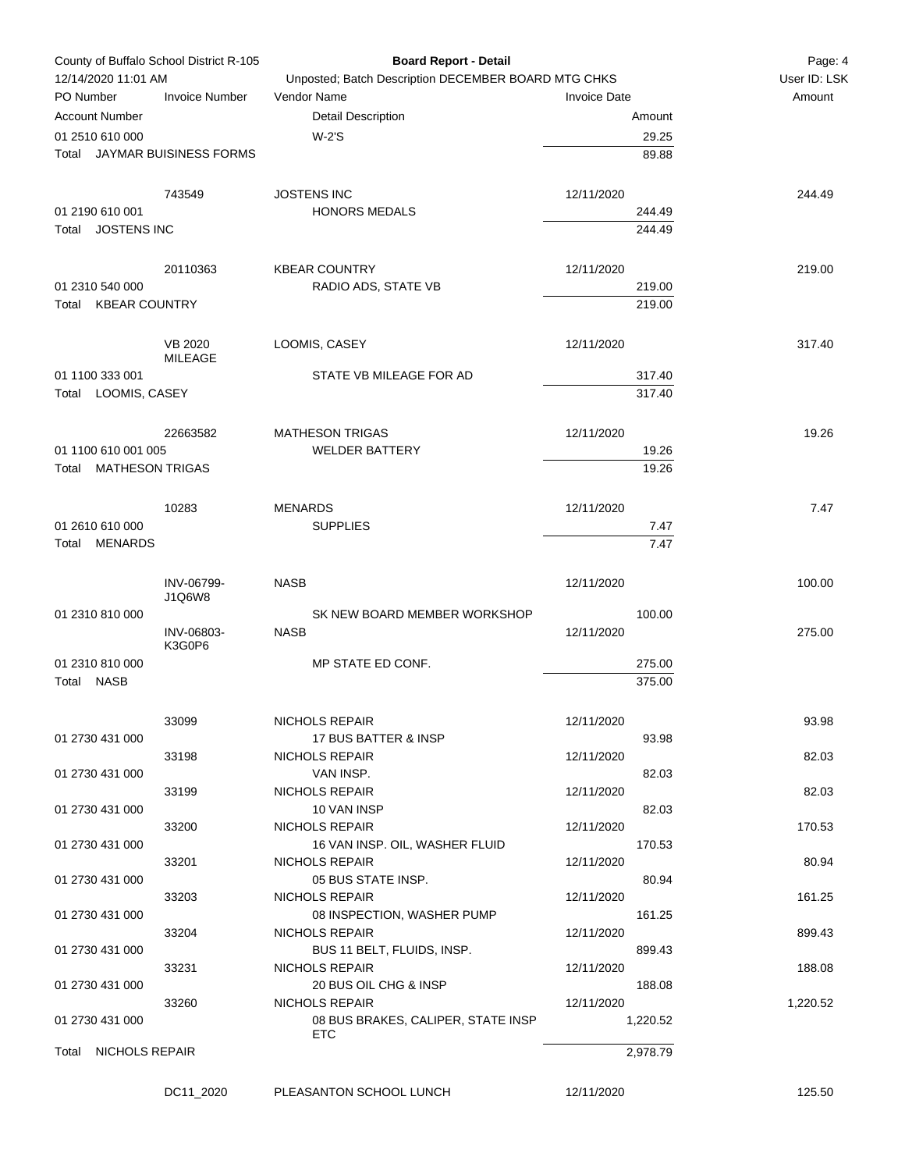| County of Buffalo School District R-105   |                       | <b>Board Report - Detail</b>                        |                     | Page: 4      |
|-------------------------------------------|-----------------------|-----------------------------------------------------|---------------------|--------------|
| 12/14/2020 11:01 AM                       |                       | Unposted; Batch Description DECEMBER BOARD MTG CHKS |                     | User ID: LSK |
| PO Number                                 | <b>Invoice Number</b> | Vendor Name                                         | <b>Invoice Date</b> | Amount       |
| <b>Account Number</b>                     |                       | <b>Detail Description</b>                           | Amount              |              |
| 01 2510 610 000                           |                       | W-2'S                                               | 29.25               |              |
| Total JAYMAR BUISINESS FORMS              |                       |                                                     | 89.88               |              |
|                                           |                       |                                                     |                     |              |
|                                           | 743549                | <b>JOSTENS INC</b>                                  | 12/11/2020          | 244.49       |
| 01 2190 610 001                           |                       | <b>HONORS MEDALS</b>                                | 244.49              |              |
| Total JOSTENS INC                         |                       |                                                     | 244.49              |              |
|                                           |                       |                                                     |                     |              |
|                                           | 20110363              | <b>KBEAR COUNTRY</b>                                | 12/11/2020          | 219.00       |
| 01 2310 540 000<br>KBEAR COUNTRY<br>Total |                       | RADIO ADS, STATE VB                                 | 219.00<br>219.00    |              |
|                                           |                       |                                                     |                     |              |
|                                           | <b>VB 2020</b>        | LOOMIS, CASEY                                       | 12/11/2020          | 317.40       |
|                                           | MILEAGE               |                                                     |                     |              |
| 01 1100 333 001                           |                       | STATE VB MILEAGE FOR AD                             | 317.40              |              |
| Total LOOMIS, CASEY                       |                       |                                                     | 317.40              |              |
|                                           |                       |                                                     |                     |              |
|                                           | 22663582              | <b>MATHESON TRIGAS</b>                              | 12/11/2020          | 19.26        |
| 01 1100 610 001 005                       |                       | <b>WELDER BATTERY</b>                               | 19.26               |              |
| Total MATHESON TRIGAS                     |                       |                                                     | 19.26               |              |
|                                           |                       |                                                     |                     |              |
|                                           | 10283                 | <b>MENARDS</b>                                      | 12/11/2020          | 7.47         |
| 01 2610 610 000                           |                       | <b>SUPPLIES</b>                                     | 7.47                |              |
| <b>MENARDS</b><br>Total                   |                       |                                                     | 7.47                |              |
|                                           |                       |                                                     |                     |              |
|                                           | INV-06799-            | <b>NASB</b>                                         | 12/11/2020          | 100.00       |
|                                           | J1Q6W8                |                                                     |                     |              |
| 01 2310 810 000                           |                       | SK NEW BOARD MEMBER WORKSHOP                        | 100.00              |              |
|                                           | INV-06803-<br>K3G0P6  | <b>NASB</b>                                         | 12/11/2020          | 275.00       |
| 01 2310 810 000                           |                       | MP STATE ED CONF.                                   | 275.00              |              |
| Total NASB                                |                       |                                                     | 375.00              |              |
|                                           |                       |                                                     |                     |              |
|                                           | 33099                 | NICHOLS REPAIR                                      | 12/11/2020          | 93.98        |
| 01 2730 431 000                           |                       | 17 BUS BATTER & INSP                                | 93.98               |              |
|                                           | 33198                 | NICHOLS REPAIR                                      | 12/11/2020          | 82.03        |
| 01 2730 431 000                           |                       | VAN INSP.                                           | 82.03               |              |
|                                           | 33199                 | NICHOLS REPAIR                                      | 12/11/2020          | 82.03        |
| 01 2730 431 000                           |                       | 10 VAN INSP                                         | 82.03               |              |
|                                           | 33200                 | NICHOLS REPAIR                                      | 12/11/2020          | 170.53       |
| 01 2730 431 000                           |                       | 16 VAN INSP. OIL, WASHER FLUID                      | 170.53              |              |
|                                           | 33201                 | NICHOLS REPAIR                                      | 12/11/2020          | 80.94        |
| 01 2730 431 000                           |                       | 05 BUS STATE INSP.                                  | 80.94               |              |
|                                           | 33203                 | NICHOLS REPAIR                                      | 12/11/2020          | 161.25       |
| 01 2730 431 000                           |                       | 08 INSPECTION, WASHER PUMP                          | 161.25              |              |
|                                           | 33204                 | NICHOLS REPAIR                                      | 12/11/2020          | 899.43       |
| 01 2730 431 000                           |                       | BUS 11 BELT, FLUIDS, INSP.                          | 899.43              |              |
|                                           | 33231                 | NICHOLS REPAIR                                      | 12/11/2020          | 188.08       |
| 01 2730 431 000                           |                       | 20 BUS OIL CHG & INSP                               | 188.08              |              |
|                                           | 33260                 | NICHOLS REPAIR                                      | 12/11/2020          | 1,220.52     |
| 01 2730 431 000                           |                       | 08 BUS BRAKES, CALIPER, STATE INSP                  | 1,220.52            |              |
|                                           |                       | <b>ETC</b>                                          |                     |              |
| NICHOLS REPAIR<br>Total                   |                       |                                                     | 2,978.79            |              |
|                                           |                       |                                                     |                     |              |
|                                           | DC11_2020             | PLEASANTON SCHOOL LUNCH                             | 12/11/2020          | 125.50       |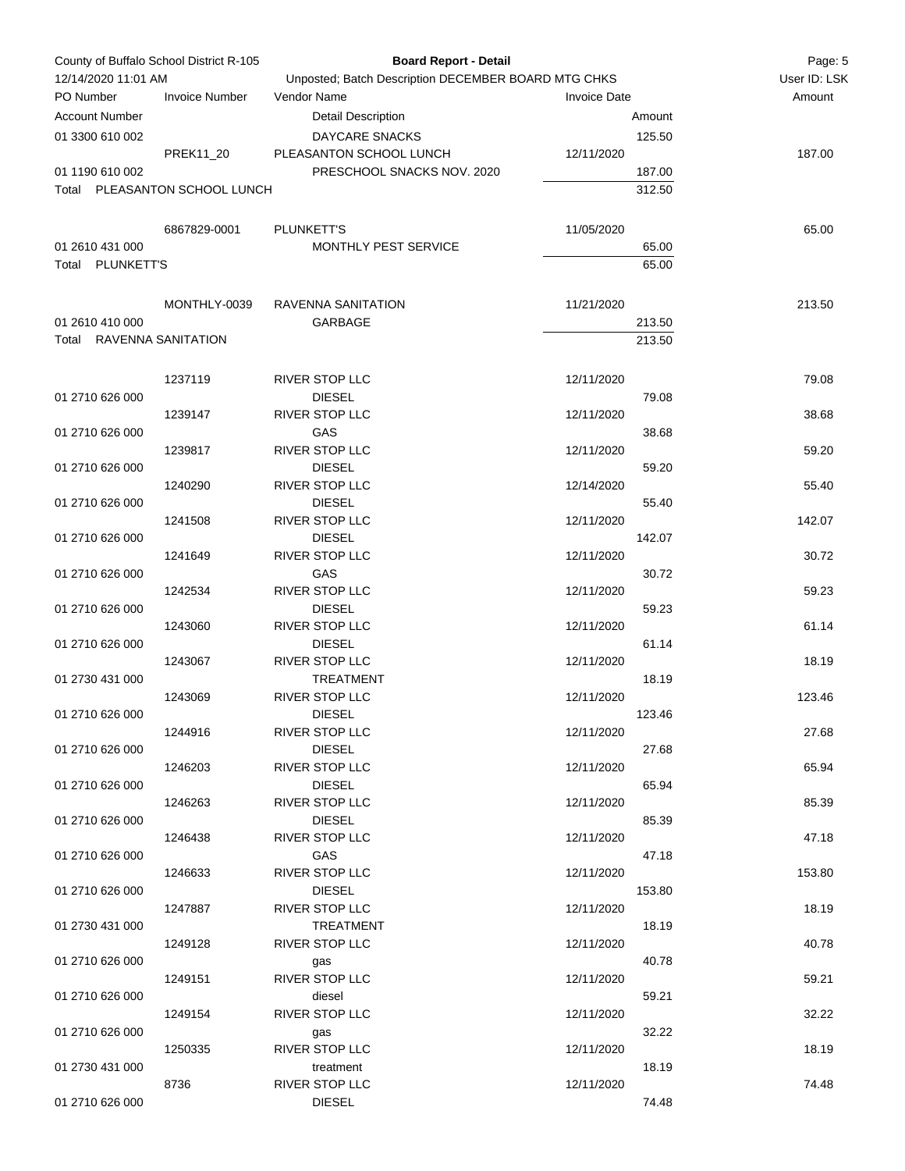| County of Buffalo School District R-105 |                               | <b>Board Report - Detail</b>                        |                     | Page: 5 |              |
|-----------------------------------------|-------------------------------|-----------------------------------------------------|---------------------|---------|--------------|
| 12/14/2020 11:01 AM                     |                               | Unposted; Batch Description DECEMBER BOARD MTG CHKS |                     |         | User ID: LSK |
| PO Number                               | <b>Invoice Number</b>         | Vendor Name                                         | <b>Invoice Date</b> |         | Amount       |
| <b>Account Number</b>                   |                               | <b>Detail Description</b>                           |                     | Amount  |              |
| 01 3300 610 002                         |                               | DAYCARE SNACKS                                      |                     | 125.50  |              |
|                                         | PREK11_20                     | PLEASANTON SCHOOL LUNCH                             | 12/11/2020          |         | 187.00       |
| 01 1190 610 002                         |                               | PRESCHOOL SNACKS NOV. 2020                          |                     | 187.00  |              |
|                                         | Total PLEASANTON SCHOOL LUNCH |                                                     |                     | 312.50  |              |
|                                         |                               |                                                     |                     |         |              |
|                                         |                               |                                                     |                     |         |              |
|                                         | 6867829-0001                  | PLUNKETT'S                                          | 11/05/2020          |         | 65.00        |
| 01 2610 431 000                         |                               | MONTHLY PEST SERVICE                                |                     | 65.00   |              |
| Total PLUNKETT'S                        |                               |                                                     |                     | 65.00   |              |
|                                         |                               |                                                     |                     |         |              |
|                                         | MONTHLY-0039                  | RAVENNA SANITATION                                  | 11/21/2020          |         | 213.50       |
| 01 2610 410 000                         |                               | GARBAGE                                             |                     | 213.50  |              |
| Total RAVENNA SANITATION                |                               |                                                     |                     | 213.50  |              |
|                                         |                               |                                                     |                     |         |              |
|                                         | 1237119                       | <b>RIVER STOP LLC</b>                               | 12/11/2020          |         | 79.08        |
| 01 2710 626 000                         |                               | <b>DIESEL</b>                                       |                     | 79.08   |              |
|                                         | 1239147                       | RIVER STOP LLC                                      | 12/11/2020          |         | 38.68        |
| 01 2710 626 000                         |                               | GAS                                                 |                     | 38.68   |              |
|                                         | 1239817                       | <b>RIVER STOP LLC</b>                               | 12/11/2020          |         | 59.20        |
| 01 2710 626 000                         |                               | <b>DIESEL</b>                                       |                     | 59.20   |              |
|                                         | 1240290                       | RIVER STOP LLC                                      | 12/14/2020          |         | 55.40        |
| 01 2710 626 000                         |                               | <b>DIESEL</b>                                       |                     | 55.40   |              |
|                                         | 1241508                       | RIVER STOP LLC                                      | 12/11/2020          |         | 142.07       |
| 01 2710 626 000                         |                               | <b>DIESEL</b>                                       |                     | 142.07  |              |
|                                         | 1241649                       | RIVER STOP LLC                                      | 12/11/2020          |         | 30.72        |
| 01 2710 626 000                         |                               | GAS                                                 |                     | 30.72   |              |
|                                         | 1242534                       | RIVER STOP LLC                                      | 12/11/2020          |         | 59.23        |
| 01 2710 626 000                         |                               | <b>DIESEL</b>                                       |                     | 59.23   |              |
|                                         | 1243060                       | RIVER STOP LLC                                      | 12/11/2020          |         | 61.14        |
| 01 2710 626 000                         |                               | <b>DIESEL</b>                                       |                     | 61.14   |              |
|                                         | 1243067                       | RIVER STOP LLC                                      | 12/11/2020          |         | 18.19        |
| 01 2730 431 000                         |                               | <b>TREATMENT</b>                                    |                     | 18.19   |              |
|                                         | 1243069                       | <b>RIVER STOP LLC</b>                               | 12/11/2020          |         | 123.46       |
| 01 2710 626 000                         |                               | <b>DIESEL</b>                                       |                     | 123.46  |              |
|                                         | 1244916                       | <b>RIVER STOP LLC</b>                               | 12/11/2020          |         | 27.68        |
| 01 2710 626 000                         |                               | <b>DIESEL</b>                                       |                     | 27.68   |              |
|                                         | 1246203                       | <b>RIVER STOP LLC</b>                               | 12/11/2020          |         | 65.94        |
| 01 2710 626 000                         |                               | <b>DIESEL</b>                                       |                     | 65.94   |              |
|                                         | 1246263                       | RIVER STOP LLC                                      | 12/11/2020          |         | 85.39        |
| 01 2710 626 000                         |                               | <b>DIESEL</b>                                       |                     | 85.39   |              |
|                                         |                               | <b>RIVER STOP LLC</b>                               |                     |         |              |
|                                         | 1246438                       |                                                     | 12/11/2020          |         | 47.18        |
| 01 2710 626 000                         |                               | GAS                                                 |                     | 47.18   |              |
|                                         | 1246633                       | <b>RIVER STOP LLC</b>                               | 12/11/2020          |         | 153.80       |
| 01 2710 626 000                         |                               | <b>DIESEL</b>                                       |                     | 153.80  |              |
|                                         | 1247887                       | <b>RIVER STOP LLC</b>                               | 12/11/2020          |         | 18.19        |
| 01 2730 431 000                         |                               | <b>TREATMENT</b>                                    |                     | 18.19   |              |
|                                         | 1249128                       | <b>RIVER STOP LLC</b>                               | 12/11/2020          |         | 40.78        |
| 01 2710 626 000                         |                               | gas                                                 |                     | 40.78   |              |
|                                         | 1249151                       | RIVER STOP LLC                                      | 12/11/2020          |         | 59.21        |
| 01 2710 626 000                         |                               | diesel                                              |                     | 59.21   |              |
|                                         | 1249154                       | <b>RIVER STOP LLC</b>                               | 12/11/2020          |         | 32.22        |
| 01 2710 626 000                         |                               | gas                                                 |                     | 32.22   |              |
|                                         | 1250335                       | <b>RIVER STOP LLC</b>                               | 12/11/2020          |         | 18.19        |
| 01 2730 431 000                         |                               | treatment                                           |                     | 18.19   |              |
|                                         | 8736                          | <b>RIVER STOP LLC</b>                               | 12/11/2020          |         | 74.48        |
| 01 2710 626 000                         |                               | <b>DIESEL</b>                                       |                     | 74.48   |              |
|                                         |                               |                                                     |                     |         |              |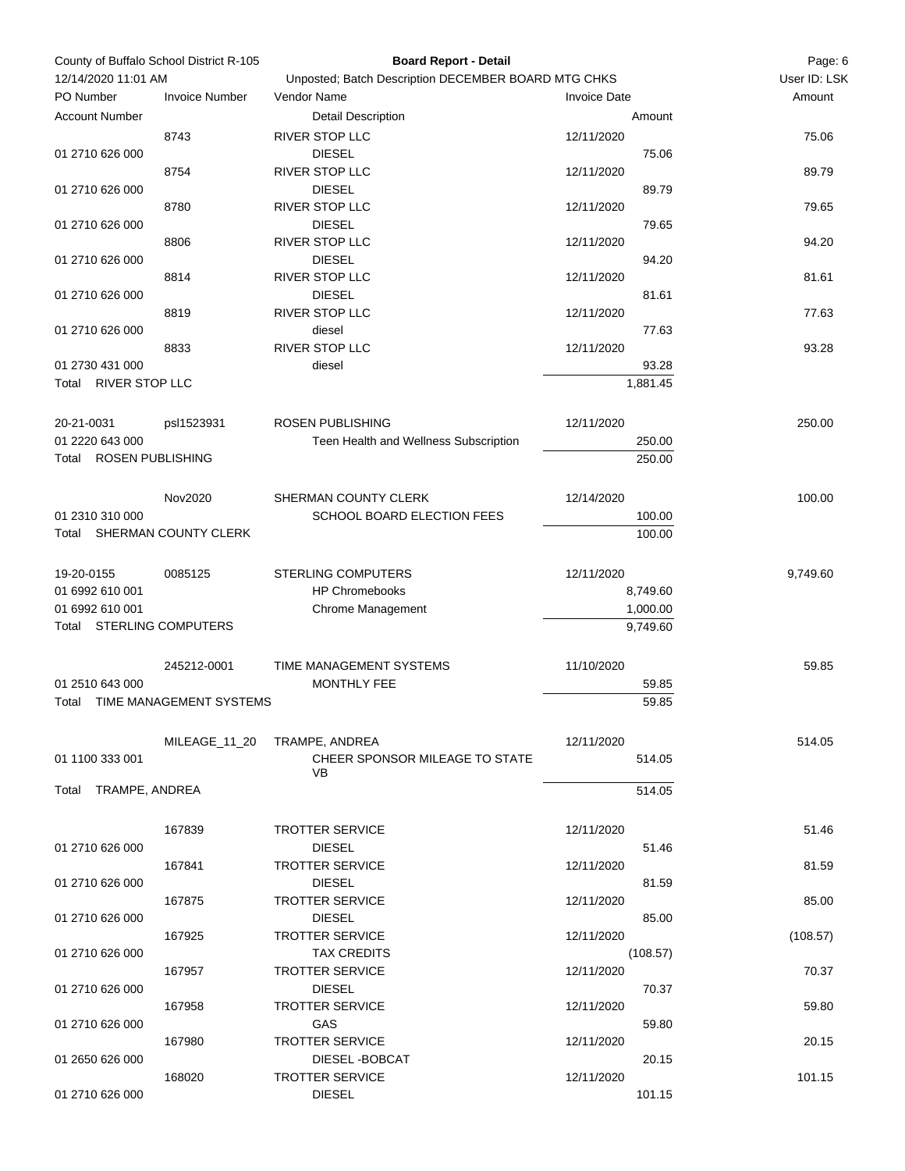| County of Buffalo School District R-105<br>12/14/2020 11:01 AM |                         | <b>Board Report - Detail</b><br>Unposted; Batch Description DECEMBER BOARD MTG CHKS |                     | Page: 6<br>User ID: LSK |
|----------------------------------------------------------------|-------------------------|-------------------------------------------------------------------------------------|---------------------|-------------------------|
| PO Number                                                      | <b>Invoice Number</b>   | Vendor Name                                                                         | <b>Invoice Date</b> | Amount                  |
| <b>Account Number</b>                                          |                         | <b>Detail Description</b>                                                           | Amount              |                         |
|                                                                | 8743                    | RIVER STOP LLC                                                                      | 12/11/2020          | 75.06                   |
| 01 2710 626 000                                                |                         | <b>DIESEL</b>                                                                       | 75.06               |                         |
|                                                                | 8754                    | RIVER STOP LLC                                                                      | 12/11/2020          | 89.79                   |
| 01 2710 626 000                                                |                         | <b>DIESEL</b>                                                                       | 89.79               |                         |
|                                                                | 8780                    | RIVER STOP LLC                                                                      | 12/11/2020          | 79.65                   |
| 01 2710 626 000                                                |                         | <b>DIESEL</b>                                                                       | 79.65               |                         |
|                                                                | 8806                    | RIVER STOP LLC                                                                      | 12/11/2020          | 94.20                   |
| 01 2710 626 000                                                |                         | <b>DIESEL</b>                                                                       | 94.20               |                         |
|                                                                | 8814                    | RIVER STOP LLC                                                                      | 12/11/2020          | 81.61                   |
| 01 2710 626 000                                                |                         | <b>DIESEL</b>                                                                       | 81.61               |                         |
|                                                                | 8819                    | RIVER STOP LLC                                                                      | 12/11/2020          | 77.63                   |
| 01 2710 626 000                                                |                         | diesel                                                                              | 77.63               |                         |
|                                                                | 8833                    | RIVER STOP LLC                                                                      | 12/11/2020          | 93.28                   |
| 01 2730 431 000                                                |                         | diesel                                                                              | 93.28               |                         |
| Total RIVER STOP LLC                                           |                         |                                                                                     | 1,881.45            |                         |
|                                                                |                         |                                                                                     |                     |                         |
| 20-21-0031                                                     | psl1523931              | <b>ROSEN PUBLISHING</b>                                                             | 12/11/2020          | 250.00                  |
| 01 2220 643 000                                                |                         | Teen Health and Wellness Subscription                                               | 250.00              |                         |
| Total ROSEN PUBLISHING                                         |                         |                                                                                     | 250.00              |                         |
|                                                                |                         |                                                                                     |                     |                         |
|                                                                | Nov2020                 | SHERMAN COUNTY CLERK                                                                | 12/14/2020          | 100.00                  |
| 01 2310 310 000                                                |                         | SCHOOL BOARD ELECTION FEES                                                          | 100.00              |                         |
| Total SHERMAN COUNTY CLERK                                     |                         |                                                                                     | 100.00              |                         |
|                                                                |                         |                                                                                     |                     |                         |
| 19-20-0155                                                     | 0085125                 | <b>STERLING COMPUTERS</b>                                                           | 12/11/2020          | 9,749.60                |
| 01 6992 610 001                                                |                         | <b>HP Chromebooks</b>                                                               | 8,749.60            |                         |
| 01 6992 610 001<br>Total STERLING COMPUTERS                    |                         | Chrome Management                                                                   | 1,000.00            |                         |
|                                                                |                         |                                                                                     | 9,749.60            |                         |
|                                                                |                         |                                                                                     |                     | 59.85                   |
|                                                                | 245212-0001             | TIME MANAGEMENT SYSTEMS                                                             | 11/10/2020          |                         |
| 01 2510 643 000                                                | TIME MANAGEMENT SYSTEMS | MONTHLY FEE                                                                         | 59.85               |                         |
| Total                                                          |                         |                                                                                     | 59.85               |                         |
|                                                                | MILEAGE 11 20           | TRAMPE, ANDREA                                                                      | 12/11/2020          | 514.05                  |
| 01 1100 333 001                                                |                         | CHEER SPONSOR MILEAGE TO STATE                                                      | 514.05              |                         |
|                                                                |                         | <b>VB</b>                                                                           |                     |                         |
| TRAMPE, ANDREA<br>Total                                        |                         |                                                                                     | 514.05              |                         |
|                                                                |                         |                                                                                     |                     |                         |
|                                                                | 167839                  | <b>TROTTER SERVICE</b>                                                              | 12/11/2020          | 51.46                   |
| 01 2710 626 000                                                |                         | <b>DIESEL</b>                                                                       | 51.46               |                         |
|                                                                | 167841                  | <b>TROTTER SERVICE</b>                                                              | 12/11/2020          | 81.59                   |
| 01 2710 626 000                                                |                         | <b>DIESEL</b>                                                                       | 81.59               |                         |
|                                                                | 167875                  | <b>TROTTER SERVICE</b>                                                              | 12/11/2020          | 85.00                   |
| 01 2710 626 000                                                |                         | <b>DIESEL</b>                                                                       | 85.00               |                         |
|                                                                | 167925                  | <b>TROTTER SERVICE</b>                                                              | 12/11/2020          | (108.57)                |
| 01 2710 626 000                                                |                         | <b>TAX CREDITS</b>                                                                  | (108.57)            |                         |
|                                                                | 167957                  | <b>TROTTER SERVICE</b>                                                              | 12/11/2020          | 70.37                   |
| 01 2710 626 000                                                |                         | <b>DIESEL</b>                                                                       | 70.37               |                         |
|                                                                | 167958                  | <b>TROTTER SERVICE</b>                                                              | 12/11/2020          | 59.80                   |
| 01 2710 626 000                                                |                         | GAS                                                                                 | 59.80               |                         |
|                                                                | 167980                  | <b>TROTTER SERVICE</b>                                                              | 12/11/2020          | 20.15                   |
| 01 2650 626 000                                                |                         | DIESEL-BOBCAT                                                                       | 20.15               |                         |
|                                                                | 168020                  | <b>TROTTER SERVICE</b>                                                              | 12/11/2020          | 101.15                  |
| 01 2710 626 000                                                |                         | <b>DIESEL</b>                                                                       | 101.15              |                         |